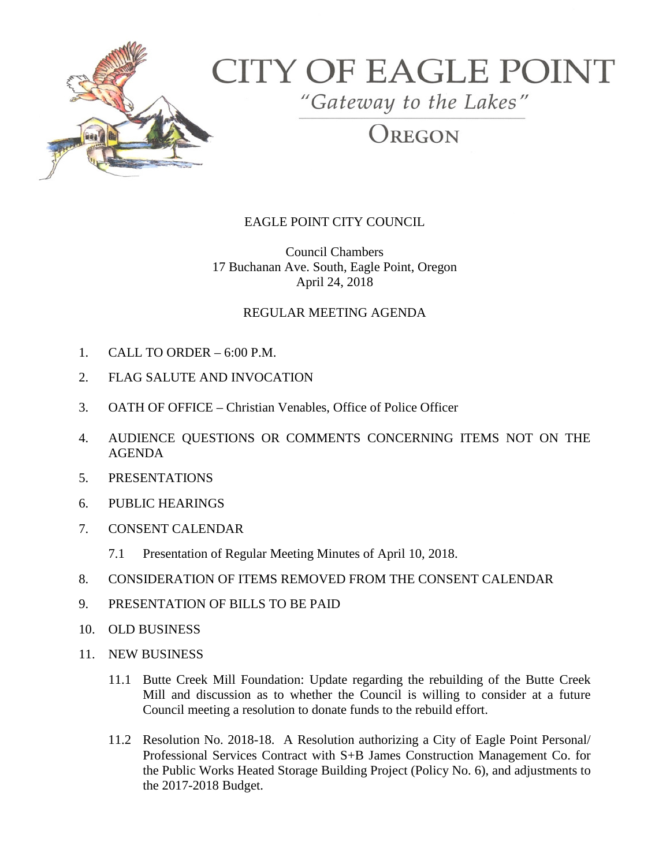

# **CITY OF EAGLE POINT**

"Gateway to the Lakes"

# **DREGON**

## EAGLE POINT CITY COUNCIL

Council Chambers 17 Buchanan Ave. South, Eagle Point, Oregon April 24, 2018

#### REGULAR MEETING AGENDA

- 1. CALL TO ORDER 6:00 P.M.
- 2. FLAG SALUTE AND INVOCATION
- 3. OATH OF OFFICE Christian Venables, Office of Police Officer
- 4. AUDIENCE QUESTIONS OR COMMENTS CONCERNING ITEMS NOT ON THE AGENDA
- 5. PRESENTATIONS
- 6. PUBLIC HEARINGS
- 7. CONSENT CALENDAR
	- 7.1 Presentation of Regular Meeting Minutes of April 10, 2018.
- 8. CONSIDERATION OF ITEMS REMOVED FROM THE CONSENT CALENDAR
- 9. PRESENTATION OF BILLS TO BE PAID
- 10. OLD BUSINESS
- 11. NEW BUSINESS
	- 11.1 Butte Creek Mill Foundation: Update regarding the rebuilding of the Butte Creek Mill and discussion as to whether the Council is willing to consider at a future Council meeting a resolution to donate funds to the rebuild effort.
	- 11.2 Resolution No. 2018-18. A Resolution authorizing a City of Eagle Point Personal/ Professional Services Contract with S+B James Construction Management Co. for the Public Works Heated Storage Building Project (Policy No. 6), and adjustments to the 2017-2018 Budget.